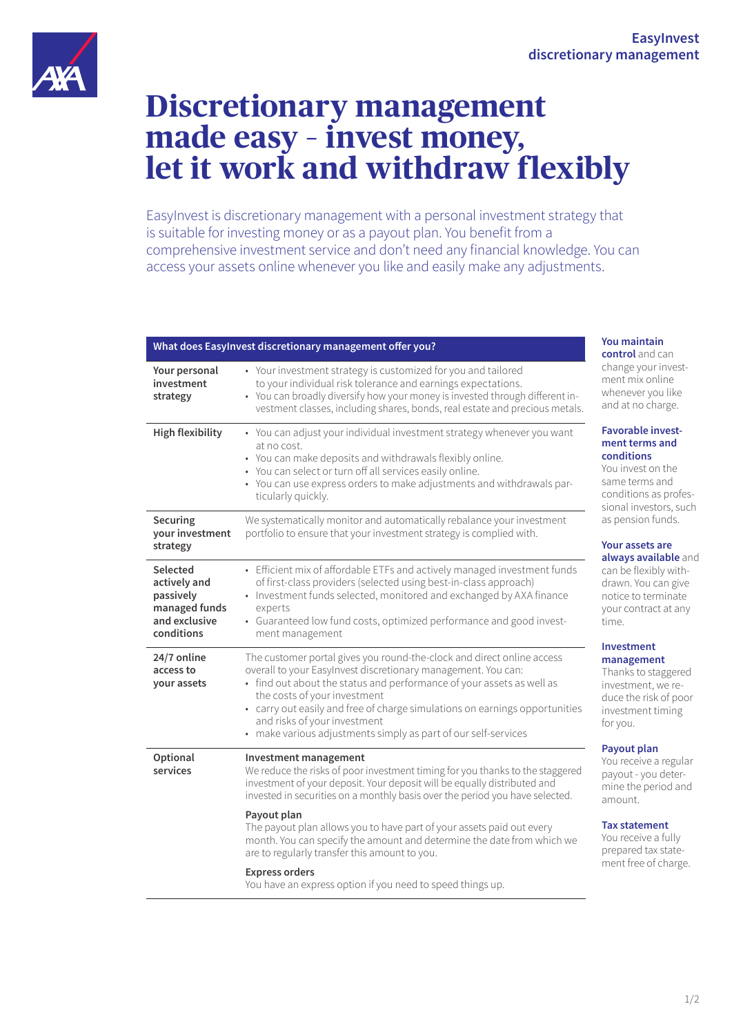

# **Discretionary management made easy – invest money, let it work and withdraw flexibly**

EasyInvest is discretionary management with a personal investment strategy that is suitable for investing money or as a payout plan. You benefit from a comprehensive investment service and don't need any financial knowledge. You can access your assets online whenever you like and easily make any adjustments.

| What does Easylnvest discretionary management offer you?                              |                                                                                                                                                                                                                                                                                                                                                                                                                                   |
|---------------------------------------------------------------------------------------|-----------------------------------------------------------------------------------------------------------------------------------------------------------------------------------------------------------------------------------------------------------------------------------------------------------------------------------------------------------------------------------------------------------------------------------|
| Your personal<br>investment<br>strategy                                               | • Your investment strategy is customized for you and tailored<br>to your individual risk tolerance and earnings expectations.<br>• You can broadly diversify how your money is invested through different in-<br>vestment classes, including shares, bonds, real estate and precious metals.                                                                                                                                      |
| <b>High flexibility</b>                                                               | • You can adjust your individual investment strategy whenever you want<br>at no cost.<br>• You can make deposits and withdrawals flexibly online.<br>• You can select or turn off all services easily online.<br>• You can use express orders to make adjustments and withdrawals par-<br>ticularly quickly.                                                                                                                      |
| Securing<br>your investment<br>strategy                                               | We systematically monitor and automatically rebalance your investment<br>portfolio to ensure that your investment strategy is complied with.                                                                                                                                                                                                                                                                                      |
| Selected<br>actively and<br>passively<br>managed funds<br>and exclusive<br>conditions | • Efficient mix of affordable ETFs and actively managed investment funds<br>of first-class providers (selected using best-in-class approach)<br>• Investment funds selected, monitored and exchanged by AXA finance<br>experts<br>• Guaranteed low fund costs, optimized performance and good invest-<br>ment management                                                                                                          |
| 24/7 online<br>access to<br>your assets                                               | The customer portal gives you round-the-clock and direct online access<br>overall to your EasyInvest discretionary management. You can:<br>• find out about the status and performance of your assets as well as<br>the costs of your investment<br>• carry out easily and free of charge simulations on earnings opportunities<br>and risks of your investment<br>• make various adjustments simply as part of our self-services |
| Optional<br>services                                                                  | Investment management<br>We reduce the risks of poor investment timing for you thanks to the staggered<br>investment of your deposit. Your deposit will be equally distributed and<br>invested in securities on a monthly basis over the period you have selected.                                                                                                                                                                |
|                                                                                       | Payout plan<br>The payout plan allows you to have part of your assets paid out every<br>month. You can specify the amount and determine the date from which we<br>are to regularly transfer this amount to you.                                                                                                                                                                                                                   |
|                                                                                       | <b>Express orders</b><br>You have an express option if you need to speed things up.                                                                                                                                                                                                                                                                                                                                               |

**You maintain trol** and can nge your investnt mix online enever you like d at no charge.

## **Favorable investment terms and conditions**

invest on the ne terms and ditions as profesnal investors, such pension funds.

# *<u>Ir assets are</u>*

**ays available** and be flexibly withwn. You can give ice to terminate ur contract at any  $\theta$ 

#### **Investment management**

anks to staggered estment, we rece the risk of poor estment timing you.

## **Payout plan**

receive a regular out - you deterne the period and ount.

## **statement**

receive a fully pared tax statent free of charge.